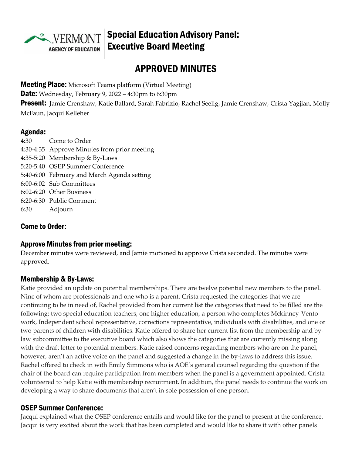

# Special Education Advisory Panel: Executive Board Meeting

# APPROVED MINUTES

**Meeting Place:** Microsoft Teams platform (Virtual Meeting)

**Date:** Wednesday, February 9, 2022 – 4:30pm to 6:30pm

**Present:** Jamie Crenshaw, Katie Ballard, Sarah Fabrizio, Rachel Seelig, Jamie Crenshaw, Crista Yagjian, Molly McFaun, Jacqui Kelleher

#### Agenda:

4:30 Come to Order 4:30-4:35 Approve Minutes from prior meeting 4:35-5:20 Membership & By-Laws 5:20-5:40 OSEP Summer Conference 5:40-6:00 February and March Agenda setting 6:00-6:02 Sub Committees 6:02-6:20 Other Business 6:20-6:30 Public Comment 6:30 Adjourn

## Come to Order:

## Approve Minutes from prior meeting:

December minutes were reviewed, and Jamie motioned to approve Crista seconded. The minutes were approved.

## Membership & By-Laws:

Katie provided an update on potential memberships. There are twelve potential new members to the panel. Nine of whom are professionals and one who is a parent. Crista requested the categories that we are continuing to be in need of, Rachel provided from her current list the categories that need to be filled are the following: two special education teachers, one higher education, a person who completes Mckinney-Vento work, Independent school representative, corrections representative, individuals with disabilities, and one or two parents of children with disabilities. Katie offered to share her current list from the membership and bylaw subcommittee to the executive board which also shows the categories that are currently missing along with the draft letter to potential members. Katie raised concerns regarding members who are on the panel, however, aren't an active voice on the panel and suggested a change in the by-laws to address this issue. Rachel offered to check in with Emily Simmons who is AOE's general counsel regarding the question if the chair of the board can require participation from members when the panel is a government appointed. Crista volunteered to help Katie with membership recruitment. In addition, the panel needs to continue the work on developing a way to share documents that aren't in sole possession of one person.

## OSEP Summer Conference:

Jacqui explained what the OSEP conference entails and would like for the panel to present at the conference. Jacqui is very excited about the work that has been completed and would like to share it with other panels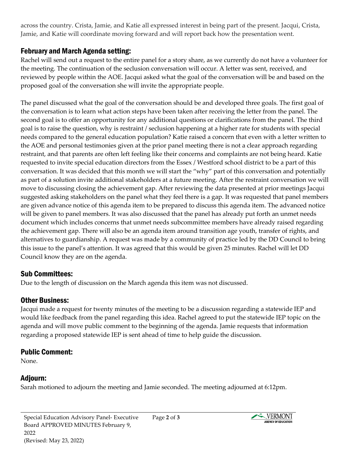across the country. Crista, Jamie, and Katie all expressed interest in being part of the present. Jacqui, Crista, Jamie, and Katie will coordinate moving forward and will report back how the presentation went.

#### February and March Agenda setting:

Rachel will send out a request to the entire panel for a story share, as we currently do not have a volunteer for the meeting. The continuation of the seclusion conversation will occur. A letter was sent, received, and reviewed by people within the AOE. Jacqui asked what the goal of the conversation will be and based on the proposed goal of the conversation she will invite the appropriate people.

The panel discussed what the goal of the conversation should be and developed three goals. The first goal of the conversation is to learn what action steps have been taken after receiving the letter from the panel. The second goal is to offer an opportunity for any additional questions or clarifications from the panel. The third goal is to raise the question, why is restraint / seclusion happening at a higher rate for students with special needs compared to the general education population? Katie raised a concern that even with a letter written to the AOE and personal testimonies given at the prior panel meeting there is not a clear approach regarding restraint, and that parents are often left feeling like their concerns and complaints are not being heard. Katie requested to invite special education directors from the Essex / Westford school district to be a part of this conversation. It was decided that this month we will start the "why" part of this conversation and potentially as part of a solution invite additional stakeholders at a future meeting. After the restraint conversation we will move to discussing closing the achievement gap. After reviewing the data presented at prior meetings Jacqui suggested asking stakeholders on the panel what they feel there is a gap. It was requested that panel members are given advance notice of this agenda item to be prepared to discuss this agenda item. The advanced notice will be given to panel members. It was also discussed that the panel has already put forth an unmet needs document which includes concerns that unmet needs subcommittee members have already raised regarding the achievement gap. There will also be an agenda item around transition age youth, transfer of rights, and alternatives to guardianship. A request was made by a community of practice led by the DD Council to bring this issue to the panel's attention. It was agreed that this would be given 25 minutes. Rachel will let DD Council know they are on the agenda.

#### Sub Committees:

Due to the length of discussion on the March agenda this item was not discussed.

## Other Business:

Jacqui made a request for twenty minutes of the meeting to be a discussion regarding a statewide IEP and would like feedback from the panel regarding this idea. Rachel agreed to put the statewide IEP topic on the agenda and will move public comment to the beginning of the agenda. Jamie requests that information regarding a proposed statewide IEP is sent ahead of time to help guide the discussion.

#### Public Comment:

None.

## Adjourn:

Sarah motioned to adjourn the meeting and Jamie seconded. The meeting adjourned at 6:12pm.